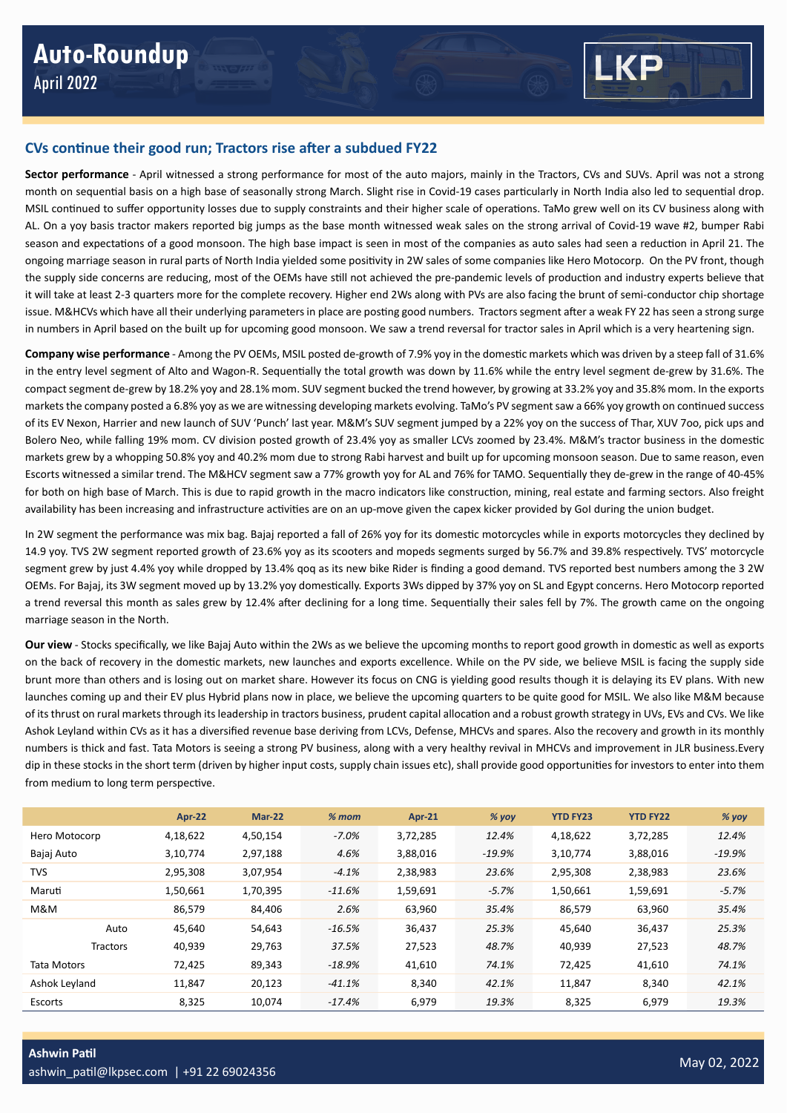

## **CVs continue their good run; Tractors rise after a subdued FY22**

**Sector performance** - April witnessed a strong performance for most of the auto majors, mainly in the Tractors, CVs and SUVs. April was not a strong month on sequential basis on a high base of seasonally strong March. Slight rise in Covid-19 cases particularly in North India also led to sequential drop. MSIL continued to suffer opportunity losses due to supply constraints and their higher scale of operations. TaMo grew well on its CV business along with AL. On a yoy basis tractor makers reported big jumps as the base month witnessed weak sales on the strong arrival of Covid-19 wave #2, bumper Rabi season and expectations of a good monsoon. The high base impact is seen in most of the companies as auto sales had seen a reduction in April 21. The ongoing marriage season in rural parts of North India yielded some positivity in 2W sales of some companies like Hero Motocorp. On the PV front, though the supply side concerns are reducing, most of the OEMs have still not achieved the pre-pandemic levels of production and industry experts believe that it will take at least 2-3 quarters more for the complete recovery. Higher end 2Ws along with PVs are also facing the brunt of semi-conductor chip shortage issue. M&HCVs which have all their underlying parameters in place are posting good numbers. Tractors segment after a weak FY 22 has seen a strong surge in numbers in April based on the built up for upcoming good monsoon. We saw a trend reversal for tractor sales in April which is a very heartening sign.

**Company wise performance** - Among the PV OEMs, MSIL posted de-growth of 7.9% yoy in the domestic markets which was driven by a steep fall of 31.6% in the entry level segment of Alto and Wagon-R. Sequentially the total growth was down by 11.6% while the entry level segment de-grew by 31.6%. The compact segment de-grew by 18.2% yoy and 28.1% mom. SUV segment bucked the trend however, by growing at 33.2% yoy and 35.8% mom. In the exports markets the company posted a 6.8% yoy as we are witnessing developing markets evolving. TaMo's PV segment saw a 66% yoy growth on continued success of its EV Nexon, Harrier and new launch of SUV 'Punch' last year. M&M's SUV segment jumped by a 22% yoy on the success of Thar, XUV 7oo, pick ups and Bolero Neo, while falling 19% mom. CV division posted growth of 23.4% yoy as smaller LCVs zoomed by 23.4%. M&M's tractor business in the domestic markets grew by a whopping 50.8% yoy and 40.2% mom due to strong Rabi harvest and built up for upcoming monsoon season. Due to same reason, even Escorts witnessed a similar trend. The M&HCV segment saw a 77% growth yoy for AL and 76% for TAMO. Sequentially they de-grew in the range of 40-45% for both on high base of March. This is due to rapid growth in the macro indicators like construction, mining, real estate and farming sectors. Also freight availability has been increasing and infrastructure activities are on an up-move given the capex kicker provided by GoI during the union budget.

In 2W segment the performance was mix bag. Bajaj reported a fall of 26% yoy for its domestic motorcycles while in exports motorcycles they declined by 14.9 yoy. TVS 2W segment reported growth of 23.6% yoy as its scooters and mopeds segments surged by 56.7% and 39.8% respectively. TVS' motorcycle segment grew by just 4.4% yoy while dropped by 13.4% qoq as its new bike Rider is finding a good demand. TVS reported best numbers among the 3 2W OEMs. For Bajaj, its 3W segment moved up by 13.2% yoy domestically. Exports 3Ws dipped by 37% yoy on SL and Egypt concerns. Hero Motocorp reported a trend reversal this month as sales grew by 12.4% after declining for a long time. Sequentially their sales fell by 7%. The growth came on the ongoing marriage season in the North.

**Our view** - Stocks specifically, we like Bajaj Auto within the 2Ws as we believe the upcoming months to report good growth in domestic as well as exports on the back of recovery in the domestic markets, new launches and exports excellence. While on the PV side, we believe MSIL is facing the supply side brunt more than others and is losing out on market share. However its focus on CNG is yielding good results though it is delaying its EV plans. With new launches coming up and their EV plus Hybrid plans now in place, we believe the upcoming quarters to be quite good for MSIL. We also like M&M because of its thrust on rural markets through its leadership in tractors business, prudent capital allocation and a robust growth strategy in UVs, EVs and CVs. We like Ashok Leyland within CVs as it has a diversified revenue base deriving from LCVs, Defense, MHCVs and spares. Also the recovery and growth in its monthly numbers is thick and fast. Tata Motors is seeing a strong PV business, along with a very healthy revival in MHCVs and improvement in JLR business.Every dip in these stocks in the short term (driven by higher input costs, supply chain issues etc), shall provide good opportunities for investors to enter into them from medium to long term perspective.

|                 | <b>Apr-22</b> | Mar-22   | $% mom$   | <b>Apr-21</b> | $%$ yoy | <b>YTD FY23</b> | <b>YTD FY22</b> | $%$ yoy  |
|-----------------|---------------|----------|-----------|---------------|---------|-----------------|-----------------|----------|
| Hero Motocorp   | 4,18,622      | 4,50,154 | $-7.0%$   | 3,72,285      | 12.4%   | 4,18,622        | 3,72,285        | 12.4%    |
| Bajaj Auto      | 3,10,774      | 2,97,188 | 4.6%      | 3,88,016      | -19.9%  | 3,10,774        | 3,88,016        | $-19.9%$ |
| <b>TVS</b>      | 2,95,308      | 3,07,954 | $-4.1%$   | 2,38,983      | 23.6%   | 2,95,308        | 2,38,983        | 23.6%    |
| Maruti          | 1,50,661      | 1,70,395 | $-11.6%$  | 1,59,691      | $-5.7%$ | 1,50,661        | 1,59,691        | $-5.7%$  |
| M&M             | 86.579        | 84,406   | 2.6%      | 63,960        | 35.4%   | 86,579          | 63,960          | 35.4%    |
| Auto            | 45.640        | 54,643   | $-16.5%$  | 36,437        | 25.3%   | 45.640          | 36,437          | 25.3%    |
| <b>Tractors</b> | 40,939        | 29,763   | 37.5%     | 27,523        | 48.7%   | 40,939          | 27,523          | 48.7%    |
| Tata Motors     | 72.425        | 89,343   | $-18.9\%$ | 41,610        | 74.1%   | 72,425          | 41,610          | 74.1%    |
| Ashok Leyland   | 11.847        | 20,123   | $-41.1%$  | 8,340         | 42.1%   | 11.847          | 8,340           | 42.1%    |
| Escorts         | 8,325         | 10,074   | $-17.4%$  | 6,979         | 19.3%   | 8,325           | 6,979           | 19.3%    |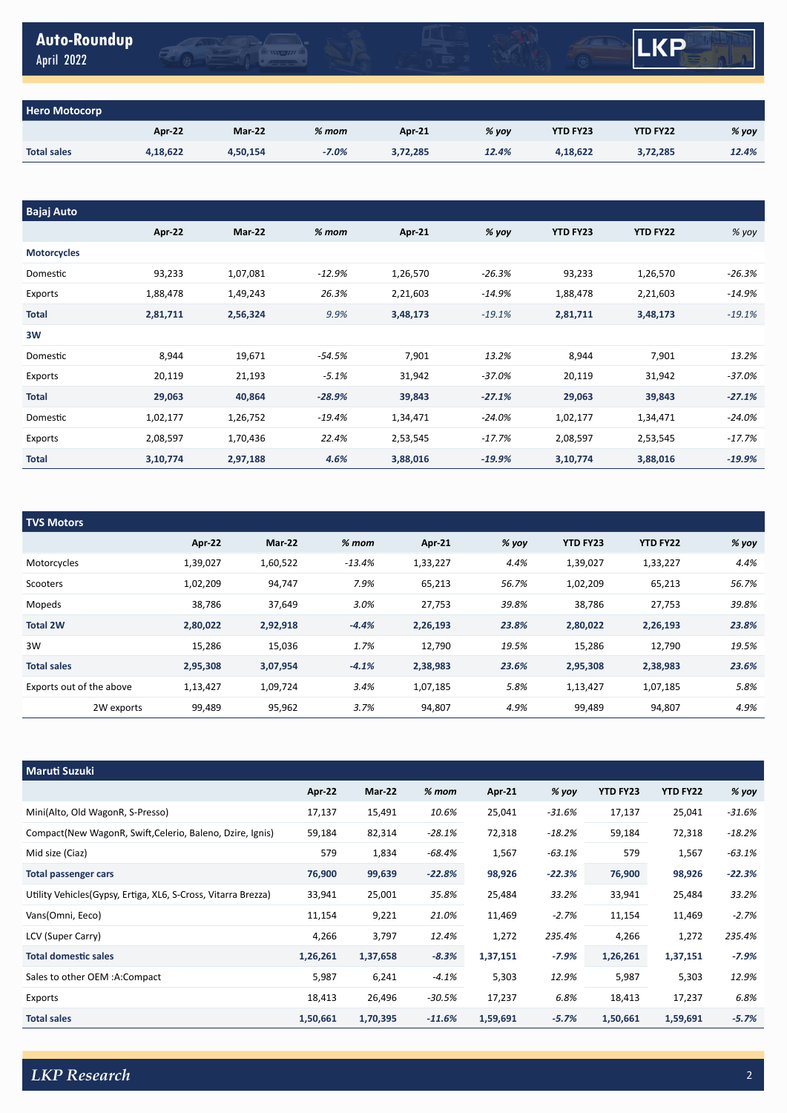| Auto-Roundup<br>April 2022 | <b>INNAHI</b> |  | KD<br>Ш. |  |
|----------------------------|---------------|--|----------|--|
|                            |               |  |          |  |
| ero Motocorn               |               |  |          |  |

| <b>Hero Motocorp</b> |          |               |         |               |         |                 |                 |       |  |  |  |
|----------------------|----------|---------------|---------|---------------|---------|-----------------|-----------------|-------|--|--|--|
|                      | Apr 22   | <b>Mar-22</b> | $%$ mom | <b>Apr 21</b> | $%$ yoy | <b>YTD FY23</b> | <b>YTD FY22</b> | % yoy |  |  |  |
| <b>Total sales</b>   | 4,18,622 | 4,50,154      | $-7.0%$ | 3,72,285      | 12.4%   | 4.18.622        | 3.72.285        | 12.4% |  |  |  |

| <b>Bajaj Auto</b>  |          |          |          |          |          |                 |                 |          |
|--------------------|----------|----------|----------|----------|----------|-----------------|-----------------|----------|
|                    | Apr-22   | Mar-22   | $% mom$  | Apr 21   | % yoy    | <b>YTD FY23</b> | <b>YTD FY22</b> | % yoy    |
| <b>Motorcycles</b> |          |          |          |          |          |                 |                 |          |
| Domestic           | 93,233   | 1,07,081 | $-12.9%$ | 1,26,570 | $-26.3%$ | 93,233          | 1,26,570        | $-26.3%$ |
| Exports            | 1,88,478 | 1,49,243 | 26.3%    | 2,21,603 | $-14.9%$ | 1,88,478        | 2,21,603        | $-14.9%$ |
| <b>Total</b>       | 2,81,711 | 2,56,324 | 9.9%     | 3,48,173 | $-19.1%$ | 2,81,711        | 3,48,173        | $-19.1%$ |
| 3W                 |          |          |          |          |          |                 |                 |          |
| Domestic           | 8,944    | 19,671   | $-54.5%$ | 7,901    | 13.2%    | 8,944           | 7,901           | 13.2%    |
| Exports            | 20,119   | 21,193   | $-5.1%$  | 31,942   | $-37.0%$ | 20,119          | 31,942          | $-37.0%$ |
| <b>Total</b>       | 29,063   | 40,864   | $-28.9%$ | 39,843   | $-27.1%$ | 29,063          | 39,843          | $-27.1%$ |
| Domestic           | 1,02,177 | 1,26,752 | $-19.4%$ | 1,34,471 | $-24.0%$ | 1,02,177        | 1,34,471        | $-24.0%$ |
| Exports            | 2,08,597 | 1,70,436 | 22.4%    | 2,53,545 | $-17.7%$ | 2,08,597        | 2,53,545        | $-17.7%$ |
| <b>Total</b>       | 3,10,774 | 2,97,188 | 4.6%     | 3,88,016 | $-19.9%$ | 3,10,774        | 3,88,016        | $-19.9%$ |

| <b>TVS Motors</b>        |          |          |          |          |         |                 |                 |       |
|--------------------------|----------|----------|----------|----------|---------|-----------------|-----------------|-------|
|                          | Apr-22   | Mar-22   | $%$ mom  | Apr-21   | $%$ yoy | <b>YTD FY23</b> | <b>YTD FY22</b> | % yoy |
| Motorcycles              | 1,39,027 | 1,60,522 | $-13.4%$ | 1,33,227 | 4.4%    | 1,39,027        | 1,33,227        | 4.4%  |
| Scooters                 | 1,02,209 | 94,747   | 7.9%     | 65,213   | 56.7%   | 1,02,209        | 65,213          | 56.7% |
| Mopeds                   | 38,786   | 37,649   | 3.0%     | 27,753   | 39.8%   | 38,786          | 27,753          | 39.8% |
| <b>Total 2W</b>          | 2,80,022 | 2,92,918 | $-4.4%$  | 2,26,193 | 23.8%   | 2,80,022        | 2,26,193        | 23.8% |
| 3W                       | 15,286   | 15,036   | 1.7%     | 12,790   | 19.5%   | 15,286          | 12,790          | 19.5% |
| <b>Total sales</b>       | 2,95,308 | 3,07,954 | $-4.1%$  | 2,38,983 | 23.6%   | 2,95,308        | 2,38,983        | 23.6% |
| Exports out of the above | 1,13,427 | 1,09,724 | 3.4%     | 1,07,185 | 5.8%    | 1,13,427        | 1,07,185        | 5.8%  |
| 2W exports               | 99,489   | 95,962   | 3.7%     | 94,807   | 4.9%    | 99,489          | 94,807          | 4.9%  |

| <b>Maruti Suzuki</b>                                           |          |               |          |          |          |                 |                 |          |
|----------------------------------------------------------------|----------|---------------|----------|----------|----------|-----------------|-----------------|----------|
|                                                                | Apr 22   | <b>Mar-22</b> | $% mom$  | Apr 21   | % yoy    | <b>YTD FY23</b> | <b>YTD FY22</b> | % yoy    |
| Mini(Alto, Old WagonR, S-Presso)                               | 17,137   | 15,491        | 10.6%    | 25,041   | $-31.6%$ | 17,137          | 25,041          | $-31.6%$ |
| Compact(New WagonR, Swift, Celerio, Baleno, Dzire, Ignis)      | 59,184   | 82,314        | $-28.1%$ | 72,318   | $-18.2%$ | 59,184          | 72,318          | $-18.2%$ |
| Mid size (Ciaz)                                                | 579      | 1,834         | $-68.4%$ | 1,567    | $-63.1%$ | 579             | 1,567           | $-63.1%$ |
| <b>Total passenger cars</b>                                    | 76,900   | 99,639        | $-22.8%$ | 98,926   | $-22.3%$ | 76,900          | 98,926          | $-22.3%$ |
| Utility Vehicles (Gypsy, Ertiga, XL6, S-Cross, Vitarra Brezza) | 33,941   | 25,001        | 35.8%    | 25,484   | 33.2%    | 33,941          | 25,484          | 33.2%    |
| Vans(Omni, Eeco)                                               | 11,154   | 9,221         | 21.0%    | 11,469   | $-2.7%$  | 11,154          | 11,469          | $-2.7%$  |
| LCV (Super Carry)                                              | 4,266    | 3,797         | 12.4%    | 1,272    | 235.4%   | 4,266           | 1,272           | 235.4%   |
| <b>Total domestic sales</b>                                    | 1,26,261 | 1,37,658      | $-8.3%$  | 1,37,151 | $-7.9%$  | 1,26,261        | 1,37,151        | $-7.9%$  |
| Sales to other OEM :A:Compact                                  | 5,987    | 6,241         | $-4.1%$  | 5,303    | 12.9%    | 5,987           | 5,303           | 12.9%    |
| Exports                                                        | 18,413   | 26,496        | $-30.5%$ | 17,237   | 6.8%     | 18,413          | 17,237          | 6.8%     |
| <b>Total sales</b>                                             | 1,50,661 | 1,70,395      | $-11.6%$ | 1,59,691 | $-5.7%$  | 1,50,661        | 1,59,691        | $-5.7%$  |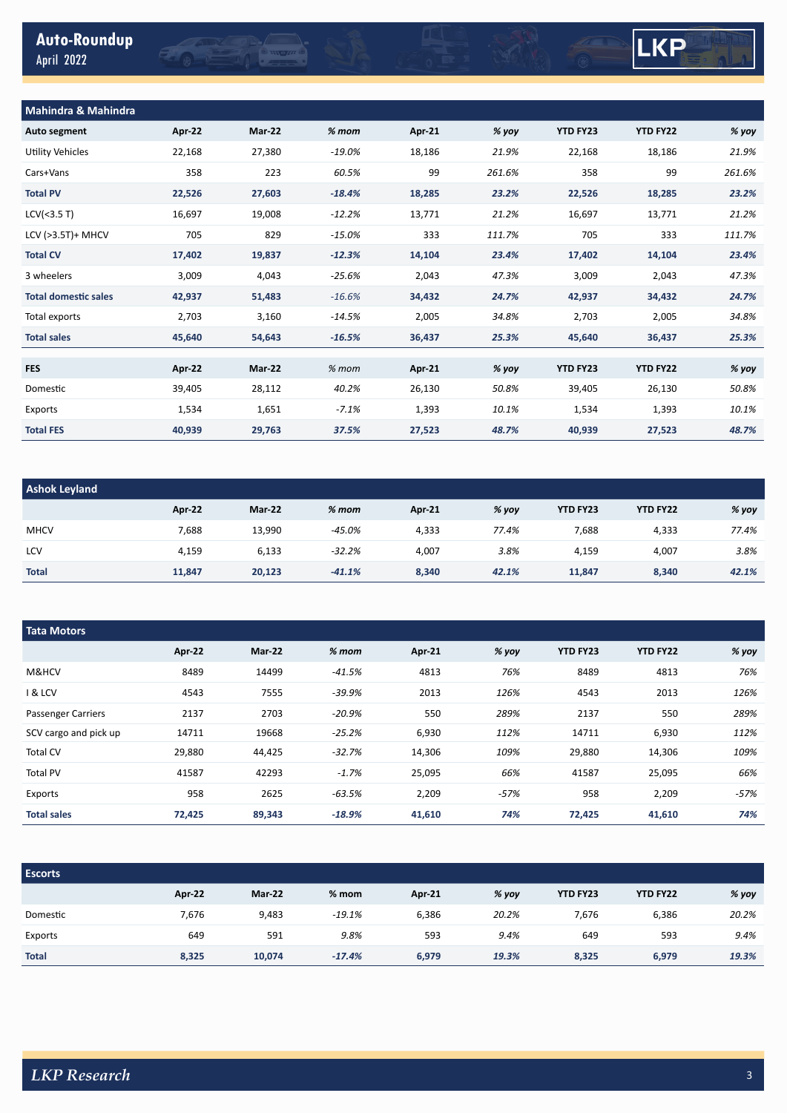|            | <b>Auto-Roundup</b> |  |
|------------|---------------------|--|
| April 2022 |                     |  |

## LKP

| <b>Mahindra &amp; Mahindra</b> |        |        |           |        |        |                 |                 |        |
|--------------------------------|--------|--------|-----------|--------|--------|-----------------|-----------------|--------|
| <b>Auto segment</b>            | Apr-22 | Mar-22 | $%$ mom   | Apr 21 | % yoy  | YTD FY23        | <b>YTD FY22</b> | % yoy  |
| Utility Vehicles               | 22,168 | 27,380 | $-19.0\%$ | 18,186 | 21.9%  | 22,168          | 18,186          | 21.9%  |
| Cars+Vans                      | 358    | 223    | 60.5%     | 99     | 261.6% | 358             | 99              | 261.6% |
| <b>Total PV</b>                | 22,526 | 27,603 | $-18.4%$  | 18,285 | 23.2%  | 22,526          | 18,285          | 23.2%  |
| LCV(<3.5 T)                    | 16,697 | 19,008 | $-12.2%$  | 13,771 | 21.2%  | 16,697          | 13,771          | 21.2%  |
| LCV (>3.5T)+ MHCV              | 705    | 829    | $-15.0%$  | 333    | 111.7% | 705             | 333             | 111.7% |
| <b>Total CV</b>                | 17,402 | 19,837 | $-12.3%$  | 14,104 | 23.4%  | 17,402          | 14,104          | 23.4%  |
| 3 wheelers                     | 3,009  | 4,043  | $-25.6%$  | 2,043  | 47.3%  | 3,009           | 2,043           | 47.3%  |
| <b>Total domestic sales</b>    | 42,937 | 51,483 | $-16.6%$  | 34,432 | 24.7%  | 42,937          | 34,432          | 24.7%  |
| Total exports                  | 2,703  | 3,160  | $-14.5%$  | 2,005  | 34.8%  | 2,703           | 2,005           | 34.8%  |
| <b>Total sales</b>             | 45,640 | 54,643 | $-16.5%$  | 36,437 | 25.3%  | 45,640          | 36,437          | 25.3%  |
|                                |        |        |           |        |        |                 |                 |        |
| <b>FES</b>                     | Apr 22 | Mar-22 | $%$ mom   | Apr 21 | % yoy  | <b>YTD FY23</b> | <b>YTD FY22</b> | % yoy  |
| Domestic                       | 39,405 | 28,112 | 40.2%     | 26,130 | 50.8%  | 39,405          | 26,130          | 50.8%  |
| Exports                        | 1,534  | 1,651  | $-7.1%$   | 1,393  | 10.1%  | 1,534           | 1,393           | 10.1%  |
| <b>Total FES</b>               | 40,939 | 29,763 | 37.5%     | 27,523 | 48.7%  | 40,939          | 27,523          | 48.7%  |

**O MOH** 

| <b>Ashok Leyland</b> |        |               |          |        |       |                 |                 |       |
|----------------------|--------|---------------|----------|--------|-------|-----------------|-----------------|-------|
|                      | Apr-22 | <b>Mar-22</b> | $% mom$  | Apr 21 | % yoy | <b>YTD FY23</b> | <b>YTD FY22</b> | % yoy |
| <b>MHCV</b>          | 7,688  | 13,990        | $-45.0%$ | 4,333  | 77.4% | 7,688           | 4,333           | 77.4% |
| LCV                  | 4,159  | 6,133         | $-32.2%$ | 4,007  | 3.8%  | 4,159           | 4,007           | 3.8%  |
| <b>Total</b>         | 11,847 | 20,123        | $-41.1%$ | 8,340  | 42.1% | 11,847          | 8,340           | 42.1% |

| <b>Tata Motors</b>        |        |               |          |               |        |                 |                 |        |  |
|---------------------------|--------|---------------|----------|---------------|--------|-----------------|-----------------|--------|--|
|                           | Apr-22 | <b>Mar-22</b> | $%$ mom  | <b>Apr-21</b> | % yoy  | <b>YTD FY23</b> | <b>YTD FY22</b> | % yoy  |  |
| M&HCV                     | 8489   | 14499         | $-41.5%$ | 4813          | 76%    | 8489            | 4813            | 76%    |  |
| <b>1 &amp; LCV</b>        | 4543   | 7555          | $-39.9%$ | 2013          | 126%   | 4543            | 2013            | 126%   |  |
| <b>Passenger Carriers</b> | 2137   | 2703          | $-20.9%$ | 550           | 289%   | 2137            | 550             | 289%   |  |
| SCV cargo and pick up     | 14711  | 19668         | $-25.2%$ | 6,930         | 112%   | 14711           | 6,930           | 112%   |  |
| Total CV                  | 29,880 | 44,425        | $-32.7%$ | 14,306        | 109%   | 29,880          | 14,306          | 109%   |  |
| <b>Total PV</b>           | 41587  | 42293         | $-1.7%$  | 25,095        | 66%    | 41587           | 25,095          | 66%    |  |
| Exports                   | 958    | 2625          | $-63.5%$ | 2,209         | $-57%$ | 958             | 2,209           | $-57%$ |  |
| <b>Total sales</b>        | 72,425 | 89,343        | $-18.9%$ | 41,610        | 74%    | 72,425          | 41,610          | 74%    |  |

| <b>Escorts</b> |        |               |          |               |       |                 |                 |       |
|----------------|--------|---------------|----------|---------------|-------|-----------------|-----------------|-------|
|                | Apr 22 | <b>Mar-22</b> | $%$ mom  | <b>Apr 21</b> | % yoy | <b>YTD FY23</b> | <b>YTD FY22</b> | % yoy |
| Domestic       | 7,676  | 9,483         | $-19.1%$ | 6,386         | 20.2% | 7,676           | 6,386           | 20.2% |
| Exports        | 649    | 591           | 9.8%     | 593           | 9.4%  | 649             | 593             | 9.4%  |
| <b>Total</b>   | 8,325  | 10,074        | $-17.4%$ | 6,979         | 19.3% | 8,325           | 6,979           | 19.3% |